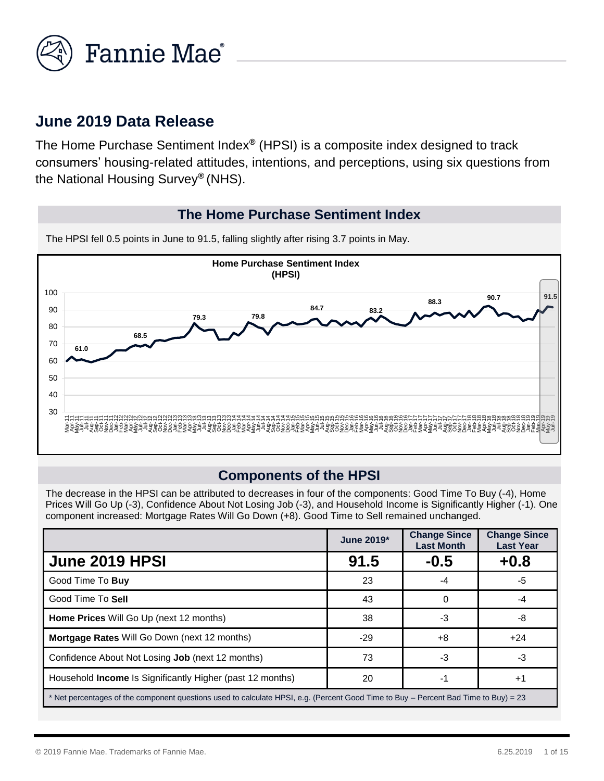

## **June 2019 Data Release**

The Home Purchase Sentiment Index*®* (HPSI) is a composite index designed to track consumers' housing-related attitudes, intentions, and perceptions, using six questions from the National Housing Survey*®* (NHS).

#### **The Home Purchase Sentiment Index**



The HPSI fell 0.5 points in June to 91.5, falling slightly after rising 3.7 points in May.

#### **Components of the HPSI**

The decrease in the HPSI can be attributed to decreases in four of the components: Good Time To Buy (-4), Home Prices Will Go Up (-3), Confidence About Not Losing Job (-3), and Household Income is Significantly Higher (-1). One component increased: Mortgage Rates Will Go Down (+8). Good Time to Sell remained unchanged.

|                                                                                                                                     | June 2019* | <b>Change Since</b><br><b>Last Month</b> | <b>Change Since</b><br><b>Last Year</b> |  |
|-------------------------------------------------------------------------------------------------------------------------------------|------------|------------------------------------------|-----------------------------------------|--|
| <b>June 2019 HPSI</b>                                                                                                               | 91.5       | $-0.5$                                   | $+0.8$                                  |  |
| Good Time To Buy                                                                                                                    | 23         | -4                                       | $-5$                                    |  |
| Good Time To Sell                                                                                                                   | 43         | 0                                        | -4                                      |  |
| <b>Home Prices</b> Will Go Up (next 12 months)                                                                                      | 38         | -3                                       | -8                                      |  |
| <b>Mortgage Rates Will Go Down (next 12 months)</b>                                                                                 | $-29$      | +8                                       | $+24$                                   |  |
| Confidence About Not Losing Job (next 12 months)                                                                                    | 73         | -3                                       | -3                                      |  |
| Household <b>Income</b> Is Significantly Higher (past 12 months)                                                                    | 20         | -1                                       | $+1$                                    |  |
| * Net percentages of the component questions used to calculate HPSI, e.g. (Percent Good Time to Buy – Percent Bad Time to Buy) = 23 |            |                                          |                                         |  |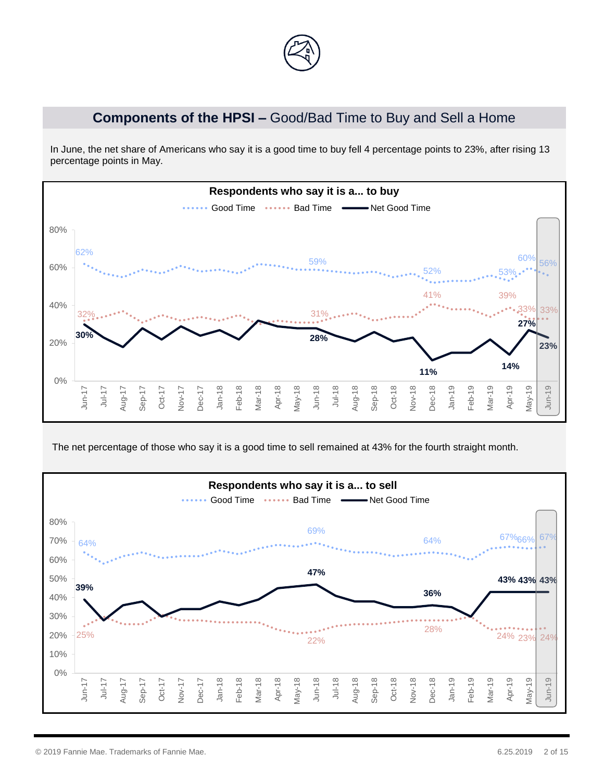

### **Components of the HPSI –** Good/Bad Time to Buy and Sell a Home

In June, the net share of Americans who say it is a good time to buy fell 4 percentage points to 23%, after rising 13 percentage points in May.



The net percentage of those who say it is a good time to sell remained at 43% for the fourth straight month.

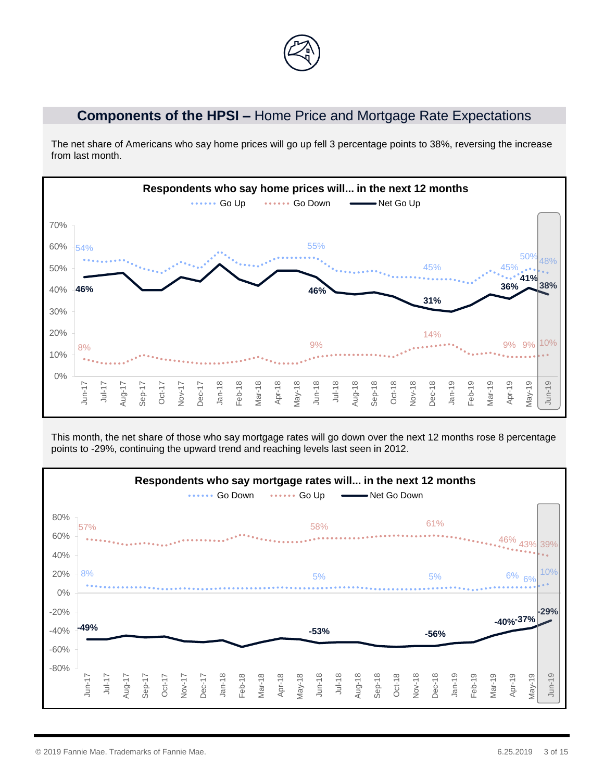

# **Components of the HPSI –** Home Price and Mortgage Rate Expectations

The net share of Americans who say home prices will go up fell 3 percentage points to 38%, reversing the increase from last month.



This month, the net share of those who say mortgage rates will go down over the next 12 months rose 8 percentage points to -29%, continuing the upward trend and reaching levels last seen in 2012.

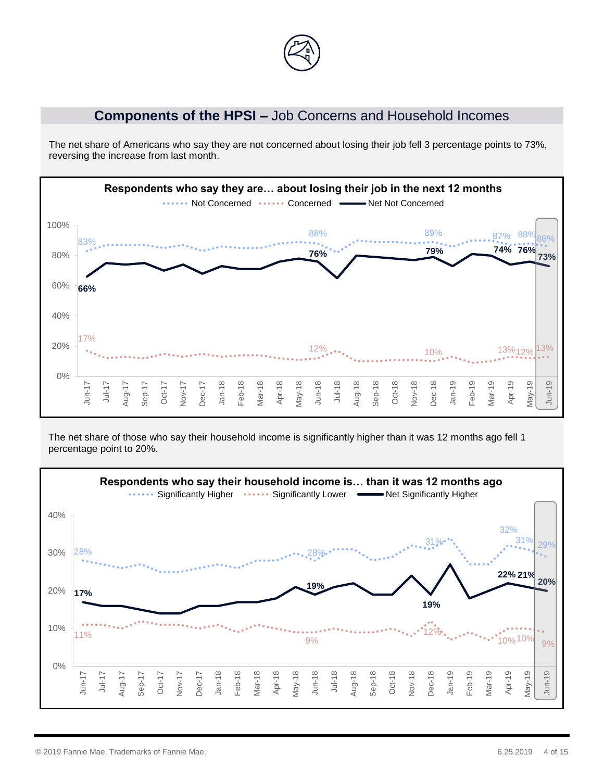

#### **Components of the HPSI –** Job Concerns and Household Incomes

The net share of Americans who say they are not concerned about losing their job fell 3 percentage points to 73%, reversing the increase from last month.



The net share of those who say their household income is significantly higher than it was 12 months ago fell 1 percentage point to 20%.

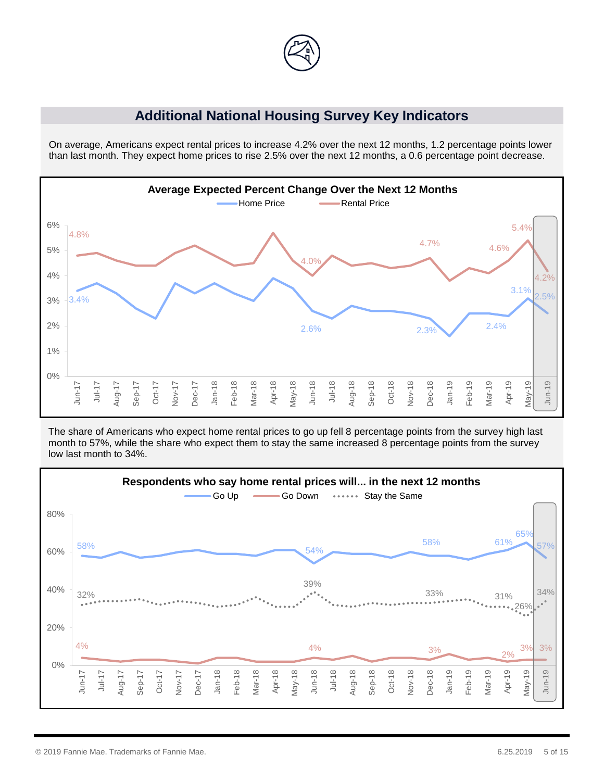

#### **Additional National Housing Survey Key Indicators**

On average, Americans expect rental prices to increase 4.2% over the next 12 months, 1.2 percentage points lower than last month. They expect home prices to rise 2.5% over the next 12 months, a 0.6 percentage point decrease.



 The share of Americans who expect home rental prices to go up fell 8 percentage points from the survey high last month to 57%, while the share who expect them to stay the same increased 8 percentage points from the survey low last month to 34%.

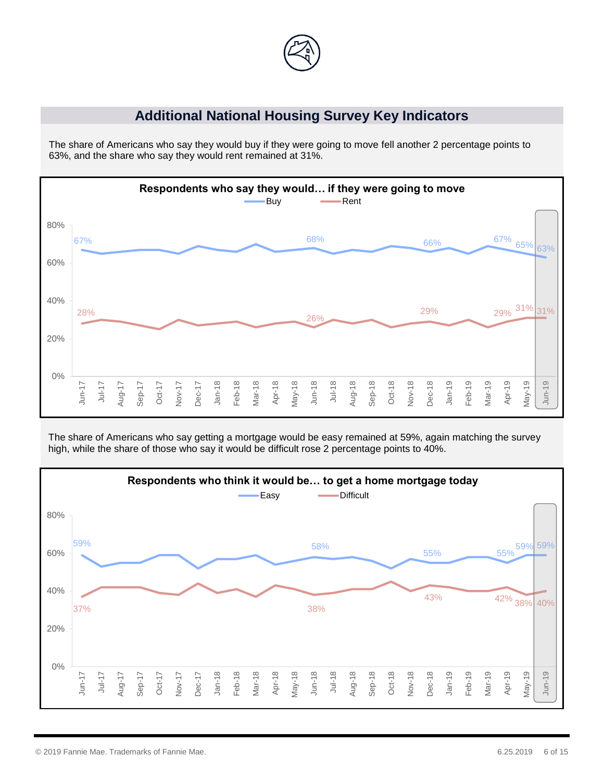

#### **Additional National Housing Survey Key Indicators**

The share of Americans who say they would buy if they were going to move fell another 2 percentage points to 63%, and the share who say they would rent remained at 31%.



The share of Americans who say getting a mortgage would be easy remained at 59%, again matching the survey high, while the share of those who say it would be difficult rose 2 percentage points to 40%.

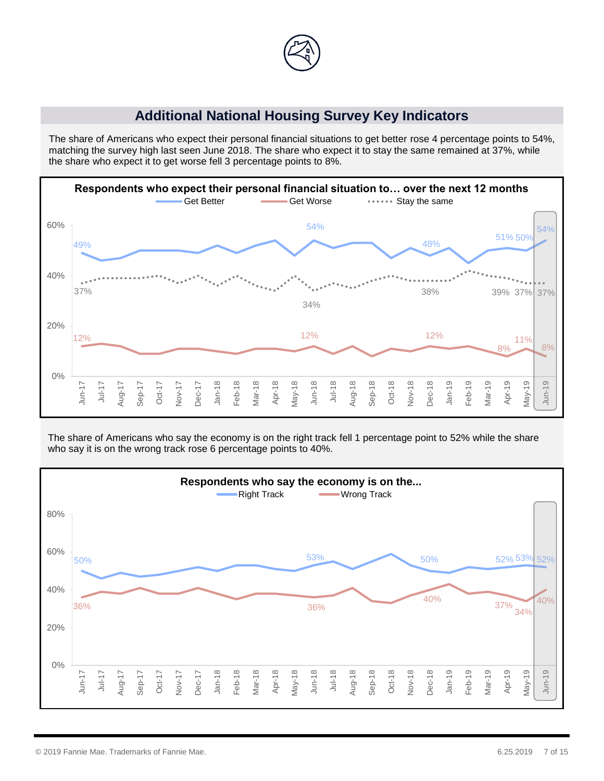

#### **Additional National Housing Survey Key Indicators**

The share of Americans who expect their personal financial situations to get better rose 4 percentage points to 54%, matching the survey high last seen June 2018. The share who expect it to stay the same remained at 37%, while the share who expect it to get worse fell 3 percentage points to 8%.



The share of Americans who say the economy is on the right track fell 1 percentage point to 52% while the share who say it is on the wrong track rose 6 percentage points to 40%.

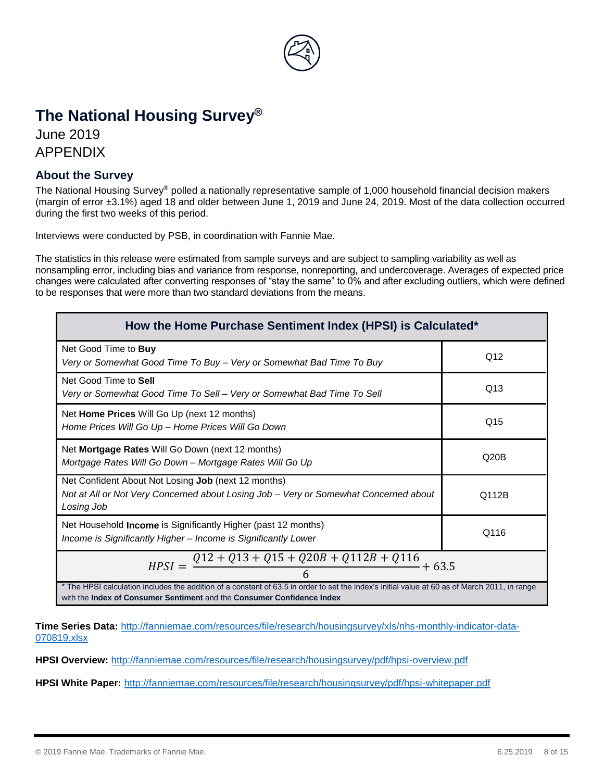

# **The National Housing Survey®**

June 2019 APPENDIX

#### **About the Survey**

The National Housing Survey® polled a nationally representative sample of 1,000 household financial decision makers (margin of error ±3.1%) aged 18 and older between June 1, 2019 and June 24, 2019. Most of the data collection occurred during the first two weeks of this period.

Interviews were conducted by PSB, in coordination with Fannie Mae.

The statistics in this release were estimated from sample surveys and are subject to sampling variability as well as nonsampling error, including bias and variance from response, nonreporting, and undercoverage. Averages of expected price changes were calculated after converting responses of "stay the same" to 0% and after excluding outliers, which were defined to be responses that were more than two standard deviations from the means.

| How the Home Purchase Sentiment Index (HPSI) is Calculated*                                                                                                                                                             |       |  |  |
|-------------------------------------------------------------------------------------------------------------------------------------------------------------------------------------------------------------------------|-------|--|--|
| Net Good Time to <b>Buy</b><br>Very or Somewhat Good Time To Buy - Very or Somewhat Bad Time To Buy                                                                                                                     | Q12   |  |  |
| Net Good Time to Sell<br>Very or Somewhat Good Time To Sell – Very or Somewhat Bad Time To Sell                                                                                                                         | Q13   |  |  |
| Net Home Prices Will Go Up (next 12 months)<br>Home Prices Will Go Up - Home Prices Will Go Down                                                                                                                        | Q15   |  |  |
| Net Mortgage Rates Will Go Down (next 12 months)<br>Mortgage Rates Will Go Down - Mortgage Rates Will Go Up                                                                                                             | Q20B  |  |  |
| Net Confident About Not Losing Job (next 12 months)<br>Not at All or Not Very Concerned about Losing Job – Very or Somewhat Concerned about<br>Losing Job                                                               | Q112B |  |  |
| Net Household Income is Significantly Higher (past 12 months)<br>Income is Significantly Higher - Income is Significantly Lower                                                                                         | Q116  |  |  |
| $Q12 + Q13 + Q15 + Q20B + Q112B + Q116$<br>$HPSI =$<br>$+63.5$                                                                                                                                                          |       |  |  |
| * The HPSI calculation includes the addition of a constant of 63.5 in order to set the index's initial value at 60 as of March 2011, in range<br>with the Index of Consumer Sentiment and the Consumer Confidence Index |       |  |  |

**Time Series Data:** [http://fanniemae.com/resources/file/research/housingsurvey/xls/nhs-monthly-indicator-data-](http://fanniemae.com/resources/file/research/housingsurvey/xls/nhs-monthly-indicator-data-070819.xlsx)[070819.xlsx](http://fanniemae.com/resources/file/research/housingsurvey/xls/nhs-monthly-indicator-data-070819.xlsx)

**HPSI Overview:** <http://fanniemae.com/resources/file/research/housingsurvey/pdf/hpsi-overview.pdf>

**HPSI White Paper:** <http://fanniemae.com/resources/file/research/housingsurvey/pdf/hpsi-whitepaper.pdf>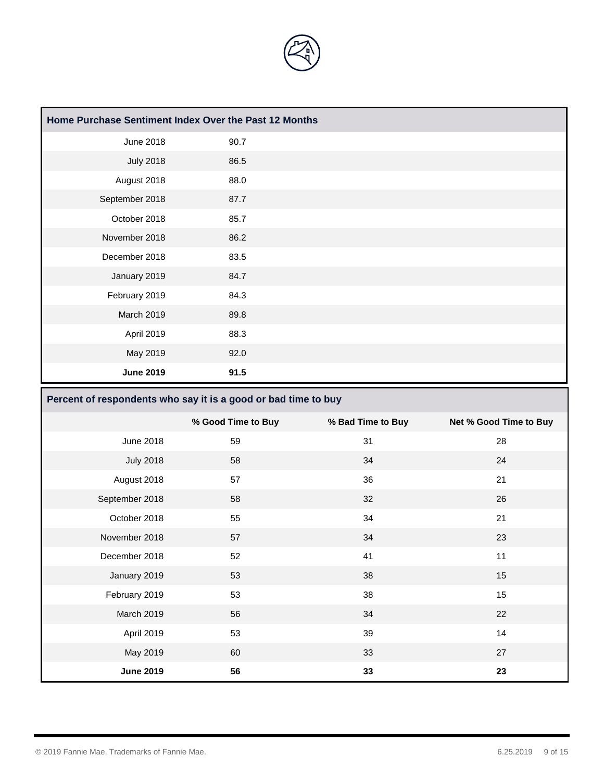

| Home Purchase Sentiment Index Over the Past 12 Months |      |  |  |
|-------------------------------------------------------|------|--|--|
| <b>June 2018</b>                                      | 90.7 |  |  |
| <b>July 2018</b>                                      | 86.5 |  |  |
| August 2018                                           | 88.0 |  |  |
| September 2018                                        | 87.7 |  |  |
| October 2018                                          | 85.7 |  |  |
| November 2018                                         | 86.2 |  |  |
| December 2018                                         | 83.5 |  |  |
| January 2019                                          | 84.7 |  |  |
| February 2019                                         | 84.3 |  |  |
| March 2019                                            | 89.8 |  |  |
| April 2019                                            | 88.3 |  |  |
| May 2019                                              | 92.0 |  |  |
| <b>June 2019</b>                                      | 91.5 |  |  |

|                  | % Good Time to Buy | % Bad Time to Buy | Net % Good Time to Buy |
|------------------|--------------------|-------------------|------------------------|
| June 2018        | 59                 | 31                | 28                     |
| <b>July 2018</b> | 58                 | 34                | 24                     |
| August 2018      | 57                 | 36                | 21                     |
| September 2018   | 58                 | 32                | 26                     |
| October 2018     | 55                 | 34                | 21                     |
| November 2018    | 57                 | 34                | 23                     |
| December 2018    | 52                 | 41                | 11                     |
| January 2019     | 53                 | 38                | 15                     |
| February 2019    | 53                 | 38                | 15                     |
| March 2019       | 56                 | 34                | 22                     |
| April 2019       | 53                 | 39                | 14                     |
| May 2019         | 60                 | 33                | 27                     |
| <b>June 2019</b> | 56                 | 33                | 23                     |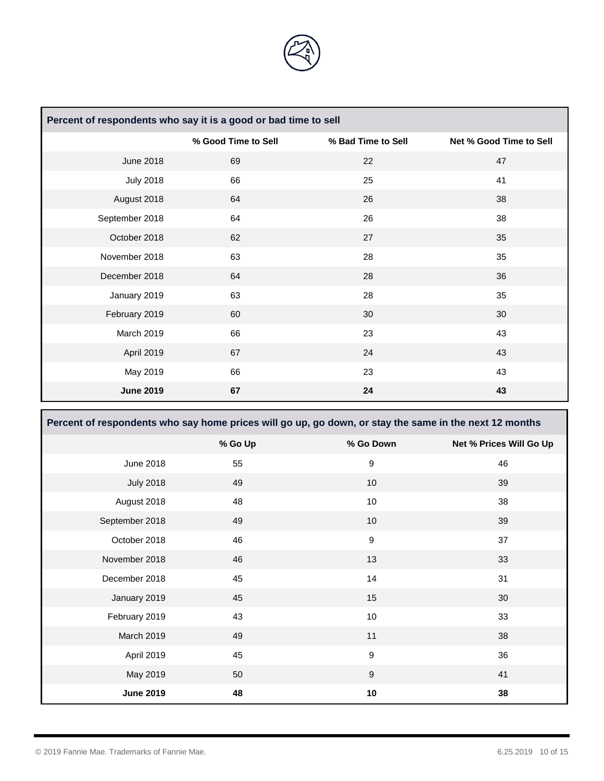

| Percent of respondents who say it is a good or bad time to sell |                     |                    |                         |
|-----------------------------------------------------------------|---------------------|--------------------|-------------------------|
|                                                                 | % Good Time to Sell | % Bad Time to Sell | Net % Good Time to Sell |
| <b>June 2018</b>                                                | 69                  | 22                 | 47                      |
| <b>July 2018</b>                                                | 66                  | 25                 | 41                      |
| August 2018                                                     | 64                  | 26                 | 38                      |
| September 2018                                                  | 64                  | 26                 | 38                      |
| October 2018                                                    | 62                  | 27                 | 35                      |
| November 2018                                                   | 63                  | 28                 | 35                      |
| December 2018                                                   | 64                  | 28                 | 36                      |
| January 2019                                                    | 63                  | 28                 | 35                      |
| February 2019                                                   | 60                  | 30                 | 30                      |
| March 2019                                                      | 66                  | 23                 | 43                      |
| April 2019                                                      | 67                  | 24                 | 43                      |
| May 2019                                                        | 66                  | 23                 | 43                      |
| <b>June 2019</b>                                                | 67                  | 24                 | 43                      |

| Percent of respondents who say home prices will go up, go down, or stay the same in the next 12 months |         |                  |                         |
|--------------------------------------------------------------------------------------------------------|---------|------------------|-------------------------|
|                                                                                                        | % Go Up | % Go Down        | Net % Prices Will Go Up |
| <b>June 2018</b>                                                                                       | 55      | 9                | 46                      |
| <b>July 2018</b>                                                                                       | 49      | 10               | 39                      |
| August 2018                                                                                            | 48      | 10               | 38                      |
| September 2018                                                                                         | 49      | 10               | 39                      |
| October 2018                                                                                           | 46      | $\boldsymbol{9}$ | 37                      |
| November 2018                                                                                          | 46      | 13               | 33                      |
| December 2018                                                                                          | 45      | 14               | 31                      |
| January 2019                                                                                           | 45      | 15               | 30                      |
| February 2019                                                                                          | 43      | 10               | 33                      |
| March 2019                                                                                             | 49      | 11               | 38                      |
| April 2019                                                                                             | 45      | $\boldsymbol{9}$ | 36                      |
| May 2019                                                                                               | 50      | $\boldsymbol{9}$ | 41                      |
| <b>June 2019</b>                                                                                       | 48      | 10               | 38                      |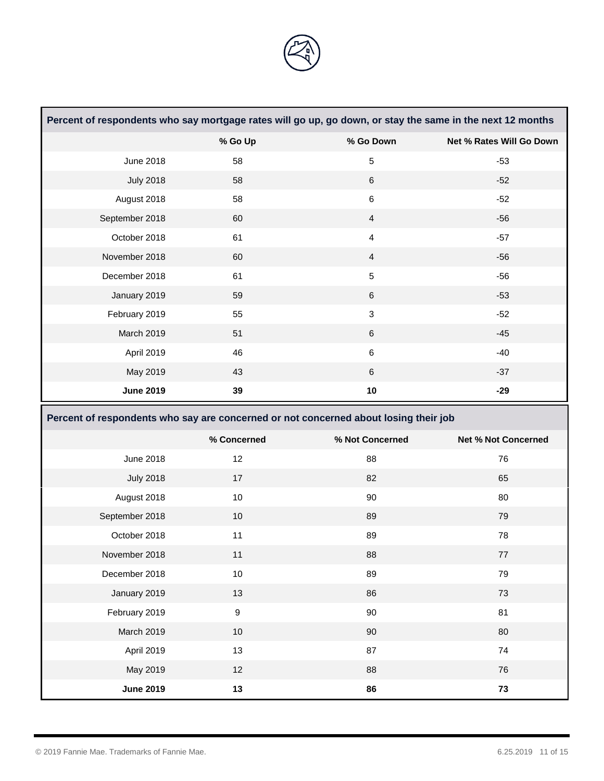

| Percent of respondents who say mortgage rates will go up, go down, or stay the same in the next 12 months |                                                                                      |                 |                            |
|-----------------------------------------------------------------------------------------------------------|--------------------------------------------------------------------------------------|-----------------|----------------------------|
|                                                                                                           | % Go Up                                                                              | % Go Down       | Net % Rates Will Go Down   |
| <b>June 2018</b>                                                                                          | 58                                                                                   | 5               | $-53$                      |
| <b>July 2018</b>                                                                                          | 58                                                                                   | $\,6\,$         | $-52$                      |
| August 2018                                                                                               | 58                                                                                   | $\,6$           | $-52$                      |
| September 2018                                                                                            | 60                                                                                   | $\overline{4}$  | $-56$                      |
| October 2018                                                                                              | 61                                                                                   | $\overline{4}$  | $-57$                      |
| November 2018                                                                                             | 60                                                                                   | $\overline{4}$  | $-56$                      |
| December 2018                                                                                             | 61                                                                                   | $\sqrt{5}$      | $-56$                      |
| January 2019                                                                                              | 59                                                                                   | $\,6\,$         | $-53$                      |
| February 2019                                                                                             | 55                                                                                   | $\mathbf{3}$    | $-52$                      |
| March 2019                                                                                                | 51                                                                                   | $\,6\,$         | $-45$                      |
| April 2019                                                                                                | 46                                                                                   | $\,6$           | $-40$                      |
| May 2019                                                                                                  | 43                                                                                   | 6               | $-37$                      |
| <b>June 2019</b>                                                                                          | 39                                                                                   | $10$            | $-29$                      |
|                                                                                                           | Percent of respondents who say are concerned or not concerned about losing their job |                 |                            |
|                                                                                                           | % Concerned                                                                          | % Not Concerned | <b>Net % Not Concerned</b> |
|                                                                                                           |                                                                                      |                 |                            |
| June 2018                                                                                                 | 12                                                                                   | 88              | 76                         |
| <b>July 2018</b>                                                                                          | 17                                                                                   | 82              | 65                         |
| August 2018                                                                                               | 10                                                                                   | 90              | 80                         |
| September 2018                                                                                            | 10                                                                                   | 89              | 79                         |
| October 2018                                                                                              | 11                                                                                   | 89              | 78                         |
| November 2018                                                                                             | 11                                                                                   | 88              | 77                         |
| December 2018                                                                                             | $10$                                                                                 | 89              | 79                         |
| January 2019                                                                                              | 13                                                                                   | 86              | 73                         |
| February 2019                                                                                             | $\boldsymbol{9}$                                                                     | 90              | 81                         |
| March 2019                                                                                                | 10                                                                                   | 90              | 80                         |
| April 2019                                                                                                | 13                                                                                   | 87              | ${\bf 74}$                 |
| May 2019                                                                                                  | 12                                                                                   | 88              | 76                         |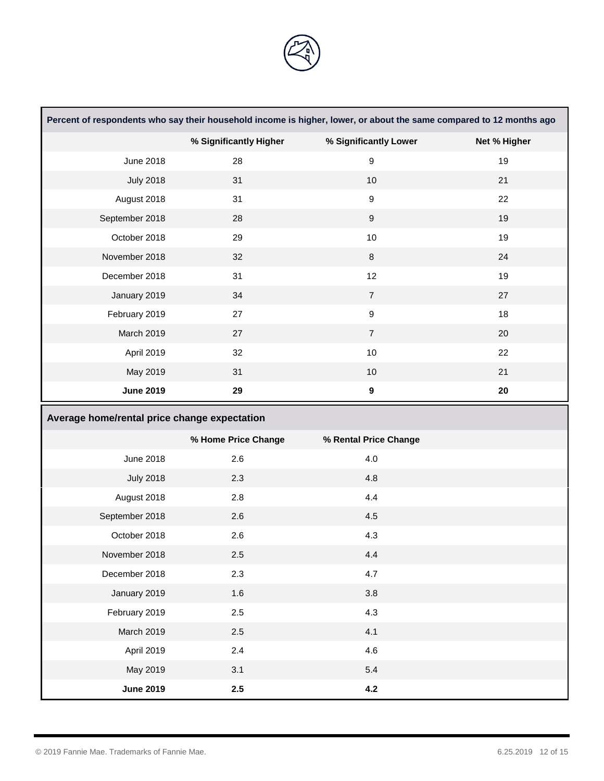

| Percent of respondents who say their household income is higher, lower, or about the same compared to 12 months ago |                        |                       |              |
|---------------------------------------------------------------------------------------------------------------------|------------------------|-----------------------|--------------|
|                                                                                                                     | % Significantly Higher | % Significantly Lower | Net % Higher |
| June 2018                                                                                                           | 28                     | 9                     | 19           |
| <b>July 2018</b>                                                                                                    | 31                     | $10$                  | 21           |
| August 2018                                                                                                         | 31                     | $\boldsymbol{9}$      | 22           |
| September 2018                                                                                                      | 28                     | $\boldsymbol{9}$      | 19           |
| October 2018                                                                                                        | 29                     | 10                    | 19           |
| November 2018                                                                                                       | 32                     | $\bf 8$               | 24           |
| December 2018                                                                                                       | 31                     | 12                    | 19           |
| January 2019                                                                                                        | 34                     | $\overline{7}$        | 27           |
| February 2019                                                                                                       | 27                     | $\boldsymbol{9}$      | 18           |
| March 2019                                                                                                          | 27                     | $\overline{7}$        | 20           |
| April 2019                                                                                                          | 32                     | $10$                  | 22           |
| May 2019                                                                                                            | 31                     | 10                    | 21           |
| <b>June 2019</b>                                                                                                    | 29                     | $\boldsymbol{9}$      | ${\bf 20}$   |
|                                                                                                                     |                        |                       |              |
| Average home/rental price change expectation                                                                        |                        |                       |              |
|                                                                                                                     | % Home Price Change    | % Rental Price Change |              |
| <b>June 2018</b>                                                                                                    | 2.6                    | 4.0                   |              |
| <b>July 2018</b>                                                                                                    | 2.3                    | 4.8                   |              |
| August 2018                                                                                                         | 2.8                    | 4.4                   |              |
| September 2018                                                                                                      | 2.6                    | 4.5                   |              |
| October 2018                                                                                                        | 2.6                    | 4.3                   |              |
| November 2018                                                                                                       | 2.5                    | 4.4                   |              |
| December 2018                                                                                                       | 2.3                    | 4.7                   |              |
| January 2019                                                                                                        | 1.6                    | $3.8\,$               |              |
| February 2019                                                                                                       | $2.5\,$                | 4.3                   |              |
| March 2019                                                                                                          | $2.5\,$                | 4.1                   |              |
| April 2019                                                                                                          | 2.4                    | 4.6                   |              |
| May 2019                                                                                                            | 3.1                    | $5.4$                 |              |

<u> Tanzania de la contrada de la con</u>

and the control of the control of the control of the control of the control of the control of the control of the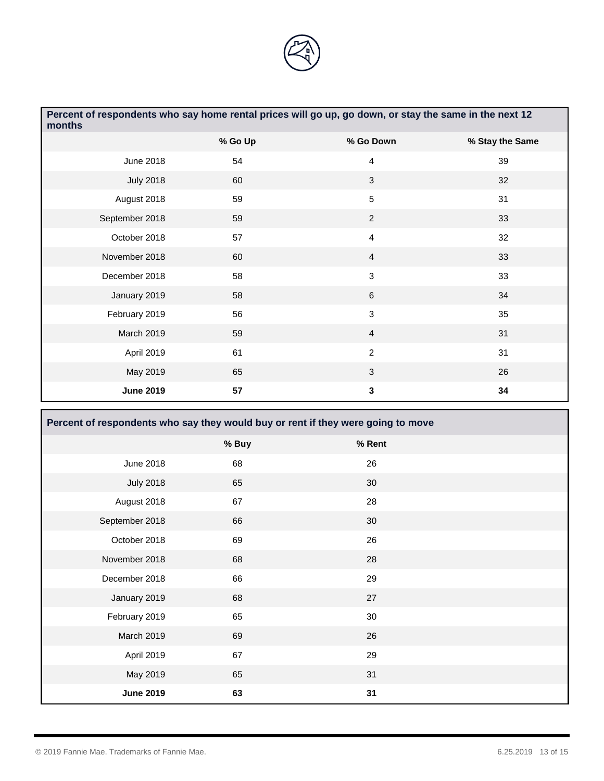

| Percent of respondents who say home rental prices will go up, go down, or stay the same in the next 12<br>months |         |                |                 |
|------------------------------------------------------------------------------------------------------------------|---------|----------------|-----------------|
|                                                                                                                  | % Go Up | % Go Down      | % Stay the Same |
| <b>June 2018</b>                                                                                                 | 54      | 4              | 39              |
| <b>July 2018</b>                                                                                                 | 60      | 3              | 32              |
| August 2018                                                                                                      | 59      | 5              | 31              |
| September 2018                                                                                                   | 59      | $\overline{2}$ | 33              |
| October 2018                                                                                                     | 57      | $\overline{4}$ | 32              |
| November 2018                                                                                                    | 60      | $\overline{4}$ | 33              |
| December 2018                                                                                                    | 58      | $\mathfrak{S}$ | 33              |
| January 2019                                                                                                     | 58      | 6              | 34              |
| February 2019                                                                                                    | 56      | 3              | 35              |
| March 2019                                                                                                       | 59      | $\overline{4}$ | 31              |
| April 2019                                                                                                       | 61      | $\overline{c}$ | 31              |
| May 2019                                                                                                         | 65      | 3              | 26              |
| <b>June 2019</b>                                                                                                 | 57      | 3              | 34              |

| Percent of respondents who say they would buy or rent if they were going to move |       |        |  |
|----------------------------------------------------------------------------------|-------|--------|--|
|                                                                                  | % Buy | % Rent |  |
| June 2018                                                                        | 68    | 26     |  |
| <b>July 2018</b>                                                                 | 65    | 30     |  |
| August 2018                                                                      | 67    | 28     |  |
| September 2018                                                                   | 66    | 30     |  |
| October 2018                                                                     | 69    | 26     |  |
| November 2018                                                                    | 68    | 28     |  |
| December 2018                                                                    | 66    | 29     |  |
| January 2019                                                                     | 68    | 27     |  |
| February 2019                                                                    | 65    | 30     |  |
| March 2019                                                                       | 69    | 26     |  |
| April 2019                                                                       | 67    | 29     |  |
| May 2019                                                                         | 65    | 31     |  |
| <b>June 2019</b>                                                                 | 63    | 31     |  |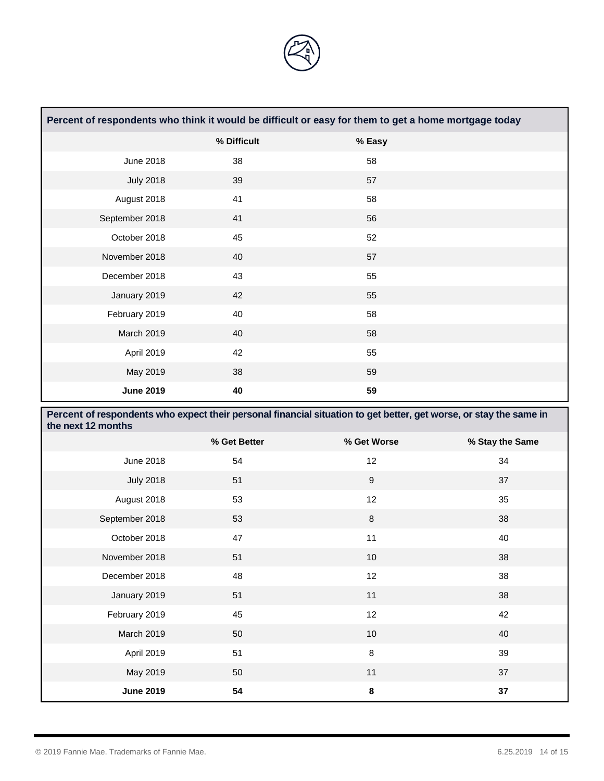

| Percent of respondents who think it would be difficult or easy for them to get a home mortgage today |             |        |  |
|------------------------------------------------------------------------------------------------------|-------------|--------|--|
|                                                                                                      | % Difficult | % Easy |  |
| June 2018                                                                                            | 38          | 58     |  |
| <b>July 2018</b>                                                                                     | 39          | 57     |  |
| August 2018                                                                                          | 41          | 58     |  |
| September 2018                                                                                       | 41          | 56     |  |
| October 2018                                                                                         | 45          | 52     |  |
| November 2018                                                                                        | 40          | 57     |  |
| December 2018                                                                                        | 43          | 55     |  |
| January 2019                                                                                         | 42          | 55     |  |
| February 2019                                                                                        | 40          | 58     |  |
| March 2019                                                                                           | 40          | 58     |  |
| April 2019                                                                                           | 42          | 55     |  |
| May 2019                                                                                             | 38          | 59     |  |
| <b>June 2019</b>                                                                                     | 40          | 59     |  |

| Percent of respondents who expect their personal financial situation to get better, get worse, or stay the same in<br>the next 12 months |              |                 |                 |  |
|------------------------------------------------------------------------------------------------------------------------------------------|--------------|-----------------|-----------------|--|
|                                                                                                                                          | % Get Better | % Get Worse     | % Stay the Same |  |
| <b>June 2018</b>                                                                                                                         | 54           | 12 <sup>°</sup> | 34              |  |
| <b>July 2018</b>                                                                                                                         | 51           | 9               | 37              |  |
| August 2018                                                                                                                              | 53           | 12              | 35              |  |
| September 2018                                                                                                                           | 53           | $\bf 8$         | 38              |  |
| October 2018                                                                                                                             | 47           | 11              | 40              |  |
| November 2018                                                                                                                            | 51           | 10 <sup>1</sup> | 38              |  |
| December 2018                                                                                                                            | 48           | 12              | 38              |  |
| January 2019                                                                                                                             | 51           | 11              | 38              |  |
| February 2019                                                                                                                            | 45           | 12              | 42              |  |
| March 2019                                                                                                                               | 50           | $10$            | 40              |  |
| April 2019                                                                                                                               | 51           | 8               | 39              |  |
| May 2019                                                                                                                                 | 50           | 11              | 37              |  |
| <b>June 2019</b>                                                                                                                         | 54           | $\pmb{8}$       | 37              |  |